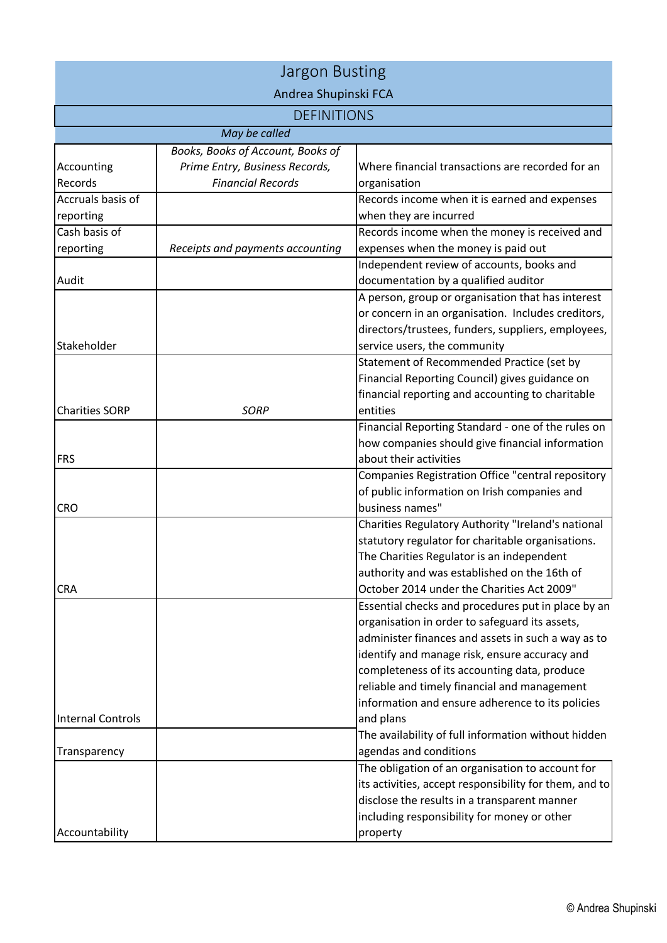| <b>Jargon Busting</b>    |                                                                     |                                                                                                            |  |  |
|--------------------------|---------------------------------------------------------------------|------------------------------------------------------------------------------------------------------------|--|--|
| Andrea Shupinski FCA     |                                                                     |                                                                                                            |  |  |
| <b>DEFINITIONS</b>       |                                                                     |                                                                                                            |  |  |
|                          | May be called                                                       |                                                                                                            |  |  |
| Accounting               | Books, Books of Account, Books of<br>Prime Entry, Business Records, | Where financial transactions are recorded for an                                                           |  |  |
| Records                  | <b>Financial Records</b>                                            | organisation                                                                                               |  |  |
| Accruals basis of        |                                                                     | Records income when it is earned and expenses                                                              |  |  |
| reporting                |                                                                     | when they are incurred                                                                                     |  |  |
| Cash basis of            |                                                                     | Records income when the money is received and                                                              |  |  |
| reporting                | Receipts and payments accounting                                    | expenses when the money is paid out                                                                        |  |  |
|                          |                                                                     | Independent review of accounts, books and                                                                  |  |  |
| Audit                    |                                                                     | documentation by a qualified auditor                                                                       |  |  |
|                          |                                                                     | A person, group or organisation that has interest                                                          |  |  |
|                          |                                                                     | or concern in an organisation. Includes creditors,                                                         |  |  |
|                          |                                                                     | directors/trustees, funders, suppliers, employees,                                                         |  |  |
| Stakeholder              |                                                                     | service users, the community                                                                               |  |  |
|                          |                                                                     | Statement of Recommended Practice (set by                                                                  |  |  |
|                          |                                                                     | Financial Reporting Council) gives guidance on                                                             |  |  |
|                          |                                                                     | financial reporting and accounting to charitable                                                           |  |  |
| <b>Charities SORP</b>    | <b>SORP</b>                                                         | entities                                                                                                   |  |  |
|                          |                                                                     | Financial Reporting Standard - one of the rules on                                                         |  |  |
|                          |                                                                     | how companies should give financial information                                                            |  |  |
| <b>FRS</b>               |                                                                     | about their activities                                                                                     |  |  |
|                          |                                                                     | Companies Registration Office "central repository                                                          |  |  |
|                          |                                                                     | of public information on Irish companies and                                                               |  |  |
| <b>CRO</b>               |                                                                     | business names"                                                                                            |  |  |
|                          |                                                                     | Charities Regulatory Authority "Ireland's national                                                         |  |  |
|                          |                                                                     | statutory regulator for charitable organisations.                                                          |  |  |
|                          |                                                                     | The Charities Regulator is an independent                                                                  |  |  |
|                          |                                                                     | authority and was established on the 16th of                                                               |  |  |
| <b>CRA</b>               |                                                                     | October 2014 under the Charities Act 2009"                                                                 |  |  |
|                          |                                                                     | Essential checks and procedures put in place by an                                                         |  |  |
|                          |                                                                     | organisation in order to safeguard its assets,                                                             |  |  |
|                          |                                                                     | administer finances and assets in such a way as to                                                         |  |  |
|                          |                                                                     | identify and manage risk, ensure accuracy and                                                              |  |  |
|                          |                                                                     | completeness of its accounting data, produce                                                               |  |  |
|                          |                                                                     | reliable and timely financial and management                                                               |  |  |
|                          |                                                                     | information and ensure adherence to its policies                                                           |  |  |
| <b>Internal Controls</b> |                                                                     | and plans                                                                                                  |  |  |
|                          |                                                                     | The availability of full information without hidden                                                        |  |  |
| Transparency             |                                                                     | agendas and conditions                                                                                     |  |  |
|                          |                                                                     | The obligation of an organisation to account for<br>its activities, accept responsibility for them, and to |  |  |
|                          |                                                                     | disclose the results in a transparent manner                                                               |  |  |
|                          |                                                                     | including responsibility for money or other                                                                |  |  |
| Accountability           |                                                                     | property                                                                                                   |  |  |
|                          |                                                                     |                                                                                                            |  |  |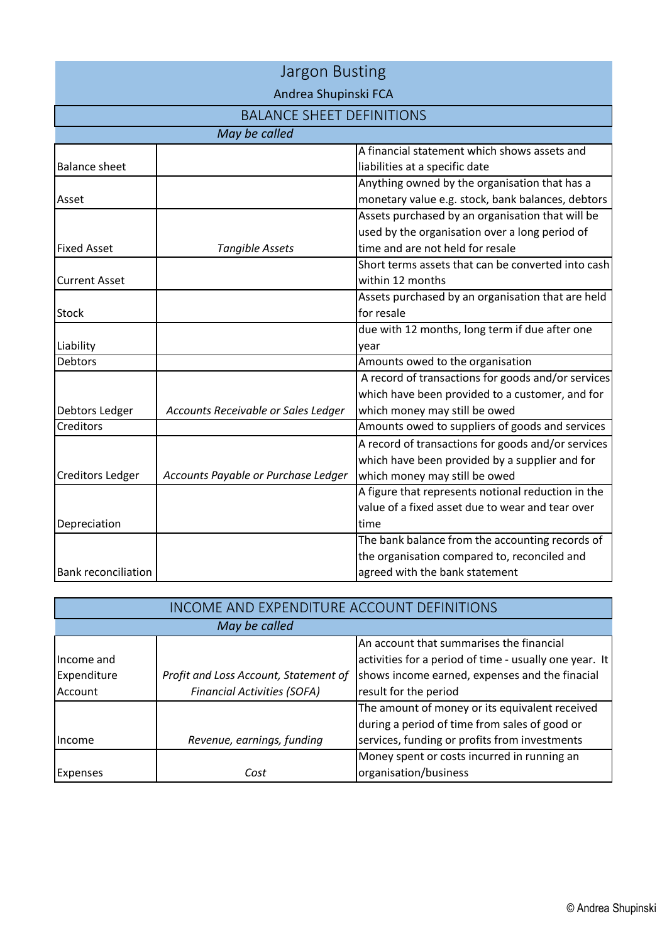| <b>Jargon Busting</b>            |                                     |                                                    |  |
|----------------------------------|-------------------------------------|----------------------------------------------------|--|
| Andrea Shupinski FCA             |                                     |                                                    |  |
| <b>BALANCE SHEET DEFINITIONS</b> |                                     |                                                    |  |
| May be called                    |                                     |                                                    |  |
|                                  |                                     | A financial statement which shows assets and       |  |
| <b>Balance sheet</b>             |                                     | liabilities at a specific date                     |  |
|                                  |                                     | Anything owned by the organisation that has a      |  |
| Asset                            |                                     | monetary value e.g. stock, bank balances, debtors  |  |
|                                  |                                     | Assets purchased by an organisation that will be   |  |
|                                  |                                     | used by the organisation over a long period of     |  |
| <b>Fixed Asset</b>               | <b>Tangible Assets</b>              | time and are not held for resale                   |  |
|                                  |                                     | Short terms assets that can be converted into cash |  |
| <b>Current Asset</b>             |                                     | within 12 months                                   |  |
|                                  |                                     | Assets purchased by an organisation that are held  |  |
| <b>Stock</b>                     |                                     | for resale                                         |  |
|                                  |                                     | due with 12 months, long term if due after one     |  |
| Liability                        |                                     | year                                               |  |
| Debtors                          |                                     | Amounts owed to the organisation                   |  |
|                                  |                                     | A record of transactions for goods and/or services |  |
|                                  |                                     | which have been provided to a customer, and for    |  |
| Debtors Ledger                   | Accounts Receivable or Sales Ledger | which money may still be owed                      |  |
| Creditors                        |                                     | Amounts owed to suppliers of goods and services    |  |
|                                  |                                     | A record of transactions for goods and/or services |  |
|                                  |                                     | which have been provided by a supplier and for     |  |
| <b>Creditors Ledger</b>          | Accounts Payable or Purchase Ledger | which money may still be owed                      |  |
|                                  |                                     | A figure that represents notional reduction in the |  |
|                                  |                                     | value of a fixed asset due to wear and tear over   |  |
| Depreciation                     |                                     | time                                               |  |
|                                  |                                     | The bank balance from the accounting records of    |  |
|                                  |                                     | the organisation compared to, reconciled and       |  |
| <b>Bank reconciliation</b>       |                                     | agreed with the bank statement                     |  |

| <b>INCOME AND EXPENDITURE ACCOUNT DEFINITIONS</b> |                                       |                                                        |  |  |
|---------------------------------------------------|---------------------------------------|--------------------------------------------------------|--|--|
| May be called                                     |                                       |                                                        |  |  |
|                                                   |                                       | An account that summarises the financial               |  |  |
| Income and                                        |                                       | activities for a period of time - usually one year. It |  |  |
| Expenditure                                       | Profit and Loss Account, Statement of | shows income earned, expenses and the finacial         |  |  |
| Account                                           | <b>Financial Activities (SOFA)</b>    | result for the period                                  |  |  |
|                                                   |                                       | The amount of money or its equivalent received         |  |  |
|                                                   |                                       | during a period of time from sales of good or          |  |  |
| Ilncome                                           | Revenue, earnings, funding            | services, funding or profits from investments          |  |  |
|                                                   |                                       | Money spent or costs incurred in running an            |  |  |
| Expenses                                          | Cost                                  | organisation/business                                  |  |  |